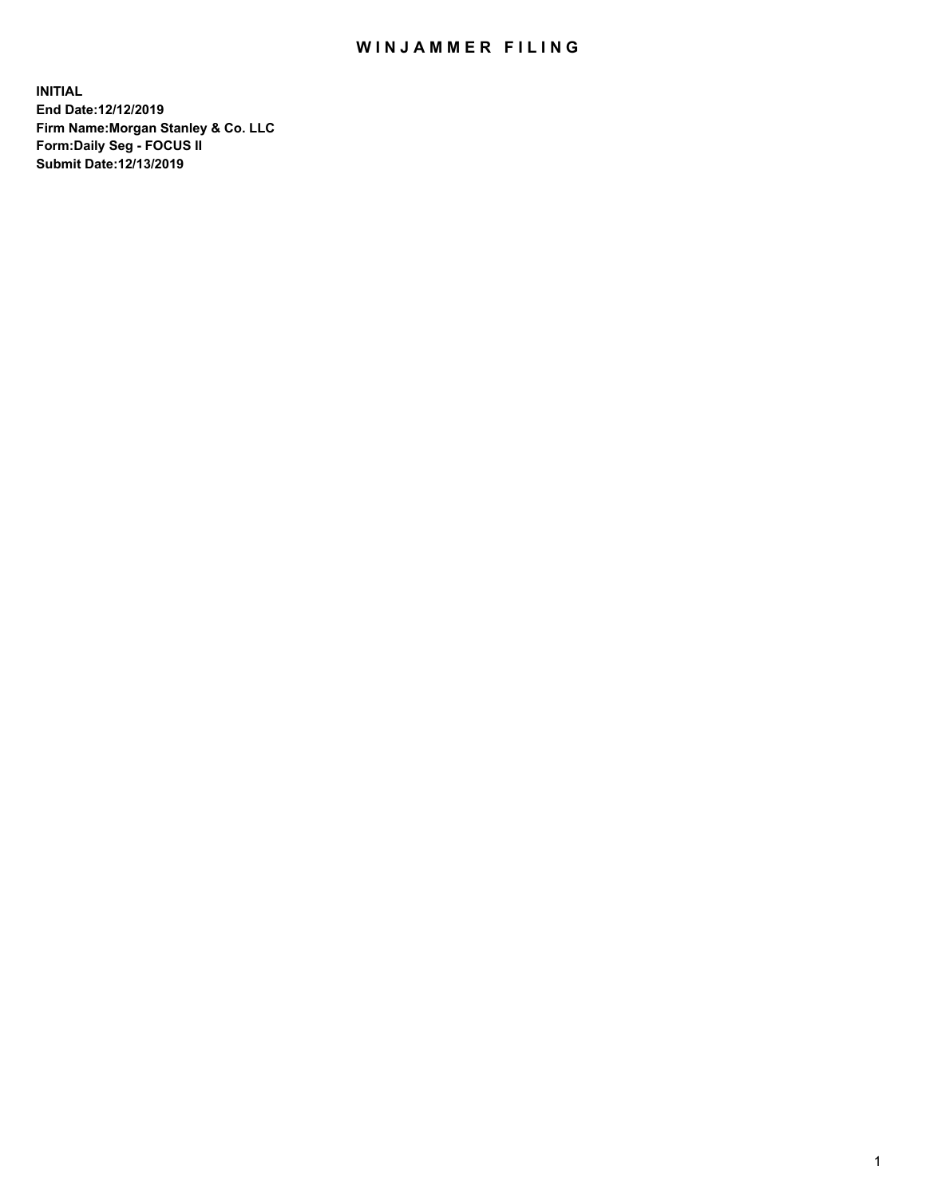## WIN JAMMER FILING

**INITIAL End Date:12/12/2019 Firm Name:Morgan Stanley & Co. LLC Form:Daily Seg - FOCUS II Submit Date:12/13/2019**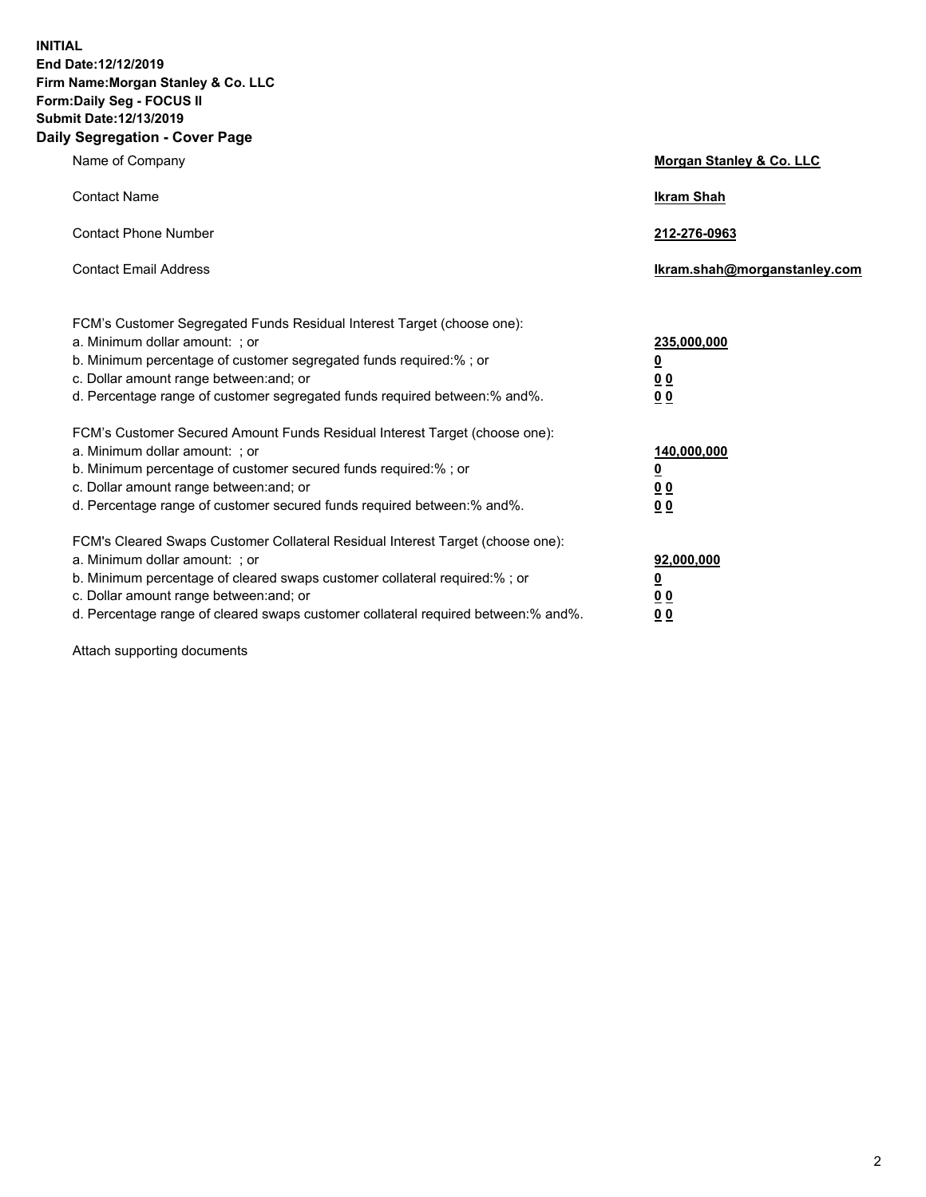**INITIAL End Date:12/12/2019 Firm Name:Morgan Stanley & Co. LLC Form:Daily Seg - FOCUS II Submit Date:12/13/2019 Daily Segregation - Cover Page**

| Name of Company                                                                                                                                                                                                                                                                                        | Morgan Stanley & Co. LLC             |
|--------------------------------------------------------------------------------------------------------------------------------------------------------------------------------------------------------------------------------------------------------------------------------------------------------|--------------------------------------|
| <b>Contact Name</b>                                                                                                                                                                                                                                                                                    | <b>Ikram Shah</b>                    |
| <b>Contact Phone Number</b>                                                                                                                                                                                                                                                                            | 212-276-0963                         |
| <b>Contact Email Address</b>                                                                                                                                                                                                                                                                           | Ikram.shah@morganstanley.com         |
| FCM's Customer Segregated Funds Residual Interest Target (choose one):<br>a. Minimum dollar amount: ; or<br>b. Minimum percentage of customer segregated funds required:% ; or<br>c. Dollar amount range between: and; or<br>d. Percentage range of customer segregated funds required between:% and%. | 235,000,000<br><u>0</u><br>00<br>00  |
| FCM's Customer Secured Amount Funds Residual Interest Target (choose one):<br>a. Minimum dollar amount: ; or<br>b. Minimum percentage of customer secured funds required:% ; or<br>c. Dollar amount range between: and; or                                                                             | 140,000,000<br><u>0</u><br><u>00</u> |
| d. Percentage range of customer secured funds required between: % and %.<br>FCM's Cleared Swaps Customer Collateral Residual Interest Target (choose one):                                                                                                                                             | 0 <sub>0</sub>                       |
| a. Minimum dollar amount: ; or<br>b. Minimum percentage of cleared swaps customer collateral required:% ; or<br>c. Dollar amount range between: and; or<br>d. Percentage range of cleared swaps customer collateral required between:% and%.                                                           | 92,000,000<br><u>0</u><br>0 Q<br>00  |

Attach supporting documents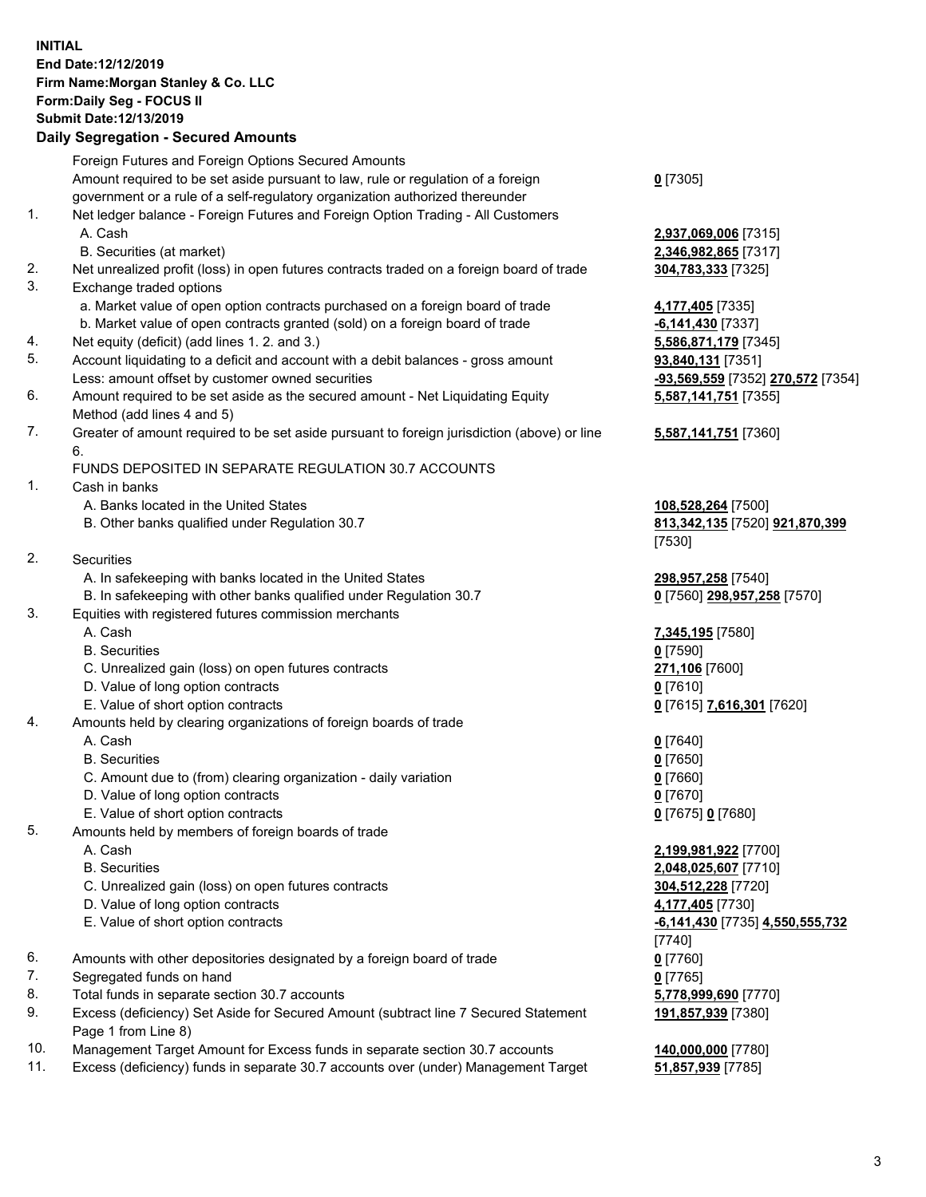## **INITIAL End Date:12/12/2019 Firm Name:Morgan Stanley & Co. LLC Form:Daily Seg - FOCUS II Submit Date:12/13/2019**

## **Daily Segregation - Secured Amounts**

|          | Foreign Futures and Foreign Options Secured Amounts                                         |                                           |
|----------|---------------------------------------------------------------------------------------------|-------------------------------------------|
|          | Amount required to be set aside pursuant to law, rule or regulation of a foreign            | $0$ [7305]                                |
|          | government or a rule of a self-regulatory organization authorized thereunder                |                                           |
| 1.       | Net ledger balance - Foreign Futures and Foreign Option Trading - All Customers             |                                           |
|          | A. Cash                                                                                     | 2,937,069,006 [7315]                      |
|          | B. Securities (at market)                                                                   | 2,346,982,865 [7317]                      |
| 2.<br>3. | Net unrealized profit (loss) in open futures contracts traded on a foreign board of trade   | 304,783,333 [7325]                        |
|          | Exchange traded options                                                                     |                                           |
|          | a. Market value of open option contracts purchased on a foreign board of trade              | 4,177,405 [7335]<br>$-6,141,430$ [7337]   |
| 4.       | b. Market value of open contracts granted (sold) on a foreign board of trade                |                                           |
| 5.       | Net equity (deficit) (add lines 1.2. and 3.)                                                | 5,586,871,179 [7345]<br>93,840,131 [7351] |
|          | Account liquidating to a deficit and account with a debit balances - gross amount           |                                           |
|          | Less: amount offset by customer owned securities                                            | <u>-93,569,559</u> [7352] 270,57          |
| 6.       | Amount required to be set aside as the secured amount - Net Liquidating Equity              | 5,587,141,751 [7355]                      |
| 7.       | Method (add lines 4 and 5)                                                                  |                                           |
|          | Greater of amount required to be set aside pursuant to foreign jurisdiction (above) or line | 5,587,141,751 [7360]                      |
|          | 6.<br>FUNDS DEPOSITED IN SEPARATE REGULATION 30.7 ACCOUNTS                                  |                                           |
| 1.       | Cash in banks                                                                               |                                           |
|          | A. Banks located in the United States                                                       | 108,528,264 [7500]                        |
|          | B. Other banks qualified under Regulation 30.7                                              | 813,342,135 [7520] 921,8                  |
|          |                                                                                             | [7530]                                    |
| 2.       | Securities                                                                                  |                                           |
|          | A. In safekeeping with banks located in the United States                                   | 298,957,258 [7540]                        |
|          | B. In safekeeping with other banks qualified under Regulation 30.7                          | 0 [7560] 298,957,258 [75]                 |
| 3.       | Equities with registered futures commission merchants                                       |                                           |
|          | A. Cash                                                                                     | 7,345,195 [7580]                          |
|          | <b>B.</b> Securities                                                                        | $0$ [7590]                                |
|          | C. Unrealized gain (loss) on open futures contracts                                         | 271,106 [7600]                            |
|          | D. Value of long option contracts                                                           | $0$ [7610]                                |
|          | E. Value of short option contracts                                                          | 0 [7615] 7,616,301 [7620]                 |
| 4.       | Amounts held by clearing organizations of foreign boards of trade                           |                                           |
|          | A. Cash                                                                                     | $0$ [7640]                                |
|          | <b>B.</b> Securities                                                                        | $0$ [7650]                                |
|          | C. Amount due to (from) clearing organization - daily variation                             | $0$ [7660]                                |
|          | D. Value of long option contracts                                                           | $0$ [7670]                                |
|          | E. Value of short option contracts                                                          | 0 [7675] 0 [7680]                         |
| 5.       | Amounts held by members of foreign boards of trade                                          |                                           |
|          | A. Cash                                                                                     | 2,199,981,922 [7700]                      |
|          | <b>B.</b> Securities                                                                        | 2,048,025,607 [7710]                      |
|          | C. Unrealized gain (loss) on open futures contracts                                         | 304,512,228 [7720]                        |
|          | D. Value of long option contracts                                                           | 4,177,405 [7730]                          |
|          | E. Value of short option contracts                                                          | -6,141,430 [7735] 4,550,5                 |
|          |                                                                                             | [7740]                                    |
| 6.       | Amounts with other depositories designated by a foreign board of trade                      | $0$ [7760]                                |
| 7.       | Segregated funds on hand                                                                    | $0$ [7765]                                |
| 8.       | Total funds in separate section 30.7 accounts                                               | 5,778,999,690 [7770]                      |
| 9.       | Excess (deficiency) Set Aside for Secured Amount (subtract line 7 Secured Statement         | 191,857,939 [7380]                        |
|          | Page 1 from Line 8)                                                                         |                                           |
| $\Delta$ | concept Towet Amount for Europe funds in concepts continue 20.7 concurring                  | 110.000.000177001                         |

- 10. Management Target Amount for Excess funds in separate section 30.7 accounts **140,000,000** [7780]
- 11. Excess (deficiency) funds in separate 30.7 accounts over (under) Management Target **51,857,939** [7785]

Less: amount offset by customer owned securities **-93,569,559** [7352] **270,572** [7354] **5,587,141,751** [7355] **5,587,141,751** [7360] B. Other banks qualified under Regulation 30.7 **813,342,135** [7520] **921,870,399**  $57, 258$  [7570]

**85**] **4,550,555,732** 880]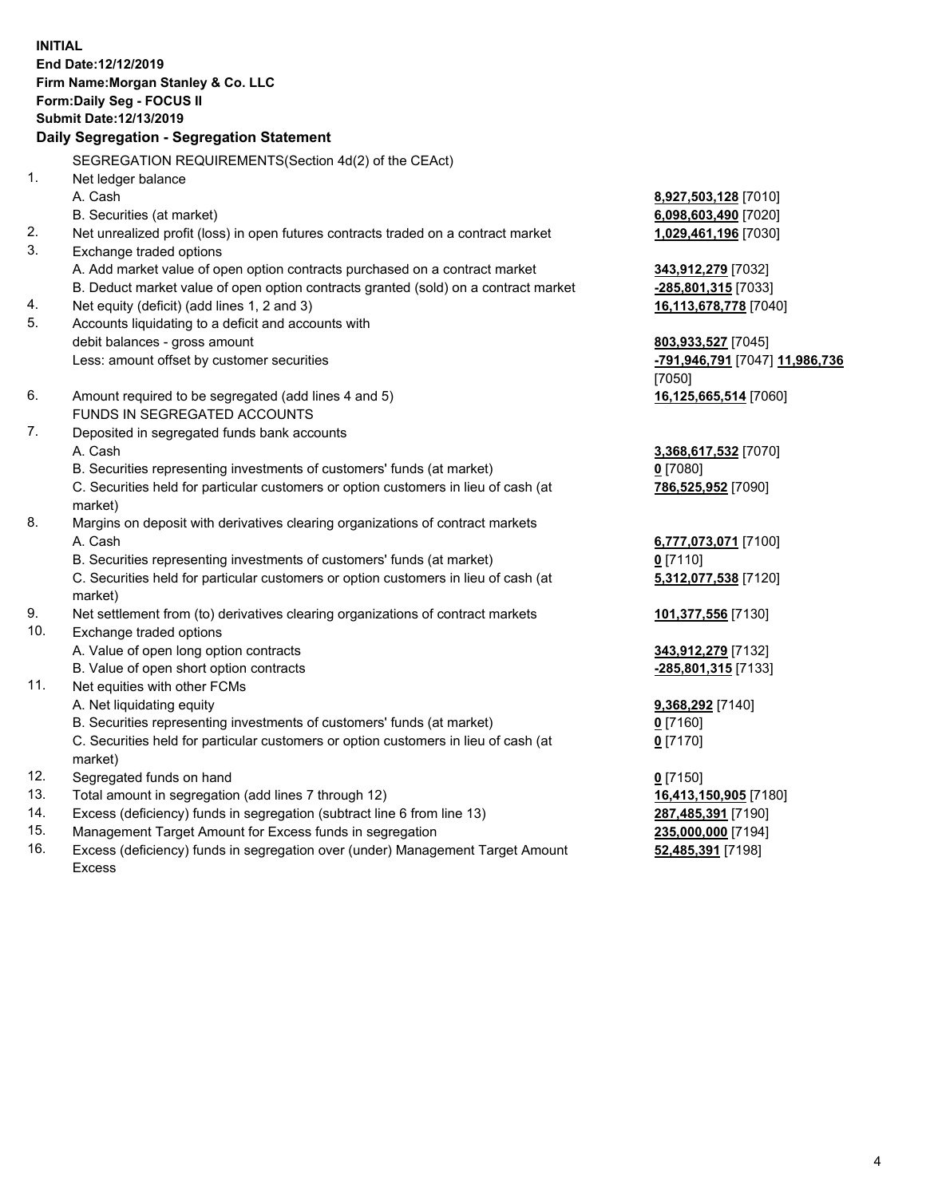**INITIAL End Date:12/12/2019 Firm Name:Morgan Stanley & Co. LLC Form:Daily Seg - FOCUS II Submit Date:12/13/2019 Daily Segregation - Segregation Statement** SEGREGATION REQUIREMENTS(Section 4d(2) of the CEAct) 1. Net ledger balance A. Cash **8,927,503,128** [7010] B. Securities (at market) **6,098,603,490** [7020] 2. Net unrealized profit (loss) in open futures contracts traded on a contract market **1,029,461,196** [7030] 3. Exchange traded options A. Add market value of open option contracts purchased on a contract market **343,912,279** [7032] B. Deduct market value of open option contracts granted (sold) on a contract market **-285,801,315** [7033] 4. Net equity (deficit) (add lines 1, 2 and 3) **16,113,678,778** [7040] 5. Accounts liquidating to a deficit and accounts with debit balances - gross amount **803,933,527** [7045] Less: amount offset by customer securities **-791,946,791** [7047] **11,986,736** [7050] 6. Amount required to be segregated (add lines 4 and 5) **16,125,665,514** [7060] FUNDS IN SEGREGATED ACCOUNTS 7. Deposited in segregated funds bank accounts A. Cash **3,368,617,532** [7070] B. Securities representing investments of customers' funds (at market) **0** [7080] C. Securities held for particular customers or option customers in lieu of cash (at market) **786,525,952** [7090] 8. Margins on deposit with derivatives clearing organizations of contract markets A. Cash **6,777,073,071** [7100] B. Securities representing investments of customers' funds (at market) **0** [7110] C. Securities held for particular customers or option customers in lieu of cash (at market) **5,312,077,538** [7120] 9. Net settlement from (to) derivatives clearing organizations of contract markets **101,377,556** [7130] 10. Exchange traded options A. Value of open long option contracts **343,912,279** [7132] B. Value of open short option contracts **-285,801,315** [7133] 11. Net equities with other FCMs A. Net liquidating equity **9,368,292** [7140] B. Securities representing investments of customers' funds (at market) **0** [7160] C. Securities held for particular customers or option customers in lieu of cash (at market) **0** [7170] 12. Segregated funds on hand **0** [7150] 13. Total amount in segregation (add lines 7 through 12) **16,413,150,905** [7180] 14. Excess (deficiency) funds in segregation (subtract line 6 from line 13) **287,485,391** [7190]

- 15. Management Target Amount for Excess funds in segregation **235,000,000** [7194]
- 16. Excess (deficiency) funds in segregation over (under) Management Target Amount Excess

**52,485,391** [7198]